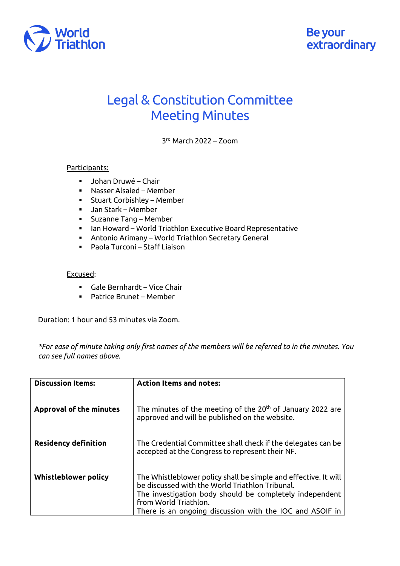

## Legal & Constitution Committee Meeting Minutes

3rd March 2022 – Zoom

## Participants:

- Johan Druwé Chair
- Nasser Alsaied Member
- § Stuart Corbishley Member
- § Jan Stark Member
- § Suzanne Tang Member
- Ian Howard World Triathlon Executive Board Representative
- § Antonio Arimany World Triathlon Secretary General
- § Paola Turconi Staff Liaison

## Excused:

- § Gale Bernhardt Vice Chair
- Patrice Brunet Member

Duration: 1 hour and 53 minutes via Zoom.

*\*For ease of minute taking only first names of the members will be referred to in the minutes. You can see full names above.*

| <b>Discussion Items:</b>       | <b>Action Items and notes:</b>                                                                                                                                                                                                                                     |
|--------------------------------|--------------------------------------------------------------------------------------------------------------------------------------------------------------------------------------------------------------------------------------------------------------------|
| <b>Approval of the minutes</b> | The minutes of the meeting of the 20 <sup>th</sup> of January 2022 are<br>approved and will be published on the website.                                                                                                                                           |
| <b>Residency definition</b>    | The Credential Committee shall check if the delegates can be<br>accepted at the Congress to represent their NF.                                                                                                                                                    |
| Whistleblower policy           | The Whistleblower policy shall be simple and effective. It will<br>be discussed with the World Triathlon Tribunal.<br>The investigation body should be completely independent<br>from World Triathlon.<br>There is an ongoing discussion with the IOC and ASOIF in |